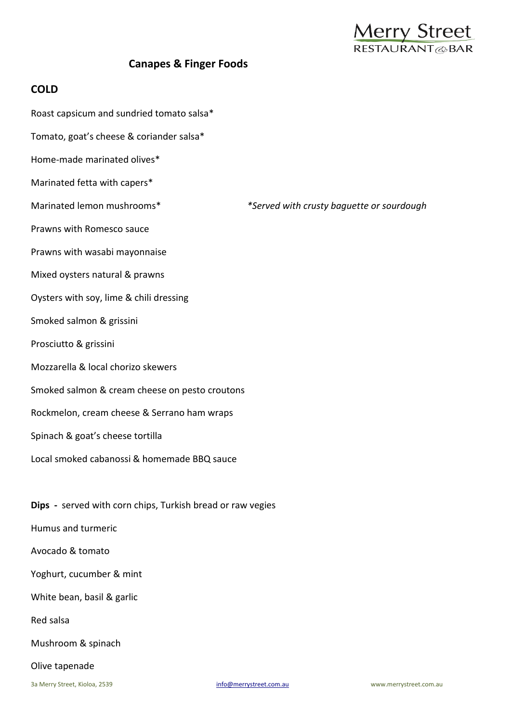

# **Canapes & Finger Foods**

# **COLD**

- Roast capsicum and sundried tomato salsa\*
- Tomato, goat's cheese & coriander salsa\*
- Home-made marinated olives\*
- Marinated fetta with capers\*
- Marinated lemon mushrooms\* *\*Served with crusty baguette or sourdough*
- Prawns with Romesco sauce
- Prawns with wasabi mayonnaise
- Mixed oysters natural & prawns
- Oysters with soy, lime & chili dressing
- Smoked salmon & grissini
- Prosciutto & grissini
- Mozzarella & local chorizo skewers
- Smoked salmon & cream cheese on pesto croutons
- Rockmelon, cream cheese & Serrano ham wraps
- Spinach & goat's cheese tortilla
- Local smoked cabanossi & homemade BBQ sauce

**Dips -** served with corn chips, Turkish bread or raw vegies

- Humus and turmeric
- Avocado & tomato
- Yoghurt, cucumber & mint
- White bean, basil & garlic
- Red salsa
- Mushroom & spinach

#### Olive tapenade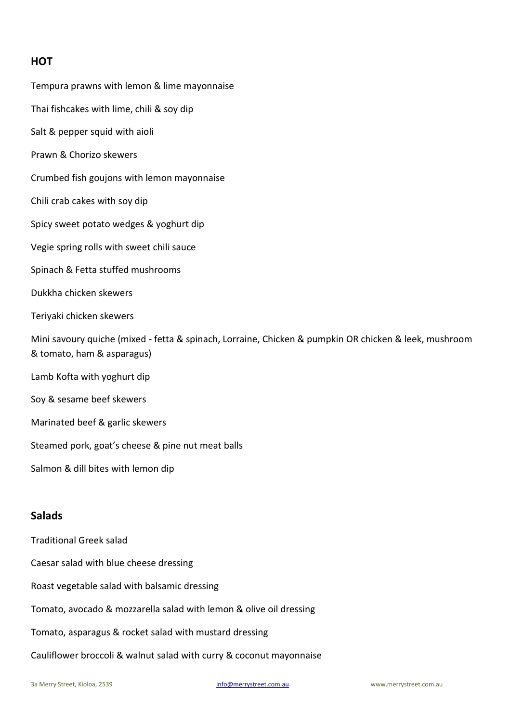# **HOT**

Tempura prawns with lemon & lime mayonnaise Thai fishcakes with lime, chili & soy dip Salt & pepper squid with aioli Prawn & Chorizo skewers Crumbed fish goujons with lemon mayonnaise Chili crab cakes with soy dip Spicy sweet potato wedges & yoghurt dip Vegie spring rolls with sweet chili sauce Spinach & Fetta stuffed mushrooms Dukkha chicken skewers Teriyaki chicken skewers Mini savoury quiche (mixed - fetta & spinach, Lorraine, Chicken & pumpkin OR chicken & leek, mushroom & tomato, ham & asparagus) Lamb Kofta with yoghurt dip Soy & sesame beef skewers Marinated beef & garlic skewers Steamed pork, goat's cheese & pine nut meat balls Salmon & dill bites with lemon dip

# **Salads**

Traditional Greek salad

Caesar salad with blue cheese dressing

Roast vegetable salad with balsamic dressing

Tomato, avocado & mozzarella salad with lemon & olive oil dressing

Tomato, asparagus & rocket salad with mustard dressing

Cauliflower broccoli & walnut salad with curry & coconut mayonnaise